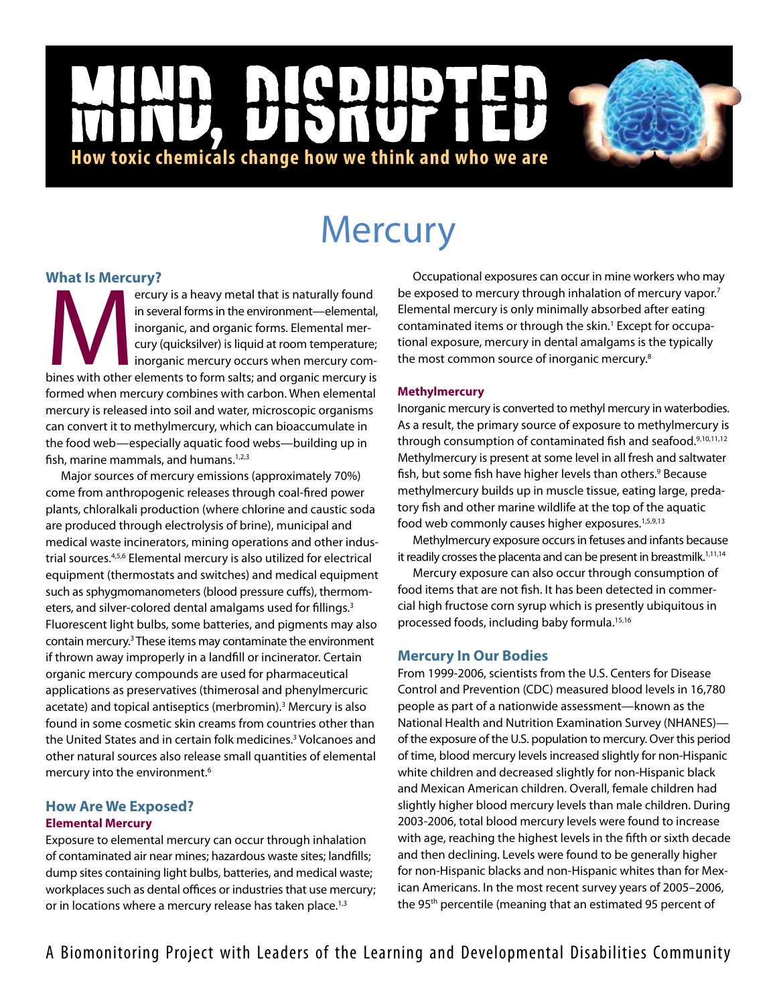# NCD |<br>|<br>| **How toxic chemicals change how we think and who we are**

# **Mercury**

## **What Is Mercury?**

ercury:<br>
in several forms in the environment—elemental,<br>
inorganic, and organic forms. Elemental mer-<br>
cury (quicksilver) is liquid at room temperature;<br>
inorganic mercury occurs when mercury com-<br>
bines with other element in several forms in the environment—elemental, inorganic, and organic forms. Elemental mercury (quicksilver) is liquid at room temperature; inorganic mercury occurs when mercury comformed when mercury combines with carbon. When elemental mercury is released into soil and water, microscopic organisms can convert it to methylmercury, which can bioaccumulate in the food web—especially aquatic food webs—building up in fish, marine mammals, and humans.<sup>1,2,3</sup>

Major sources of mercury emissions (approximately 70%) come from anthropogenic releases through coal-fired power plants, chloralkali production (where chlorine and caustic soda are produced through electrolysis of brine), municipal and medical waste incinerators, mining operations and other industrial sources.4,5,6 Elemental mercury is also utilized for electrical equipment (thermostats and switches) and medical equipment such as sphygmomanometers (blood pressure cuffs), thermometers, and silver-colored dental amalgams used for fillings.<sup>3</sup> Fluorescent light bulbs, some batteries, and pigments may also contain mercury.<sup>3</sup> These items may contaminate the environment if thrown away improperly in a landfill or incinerator. Certain organic mercury compounds are used for pharmaceutical applications as preservatives (thimerosal and phenylmercuric acetate) and topical antiseptics (merbromin).<sup>3</sup> Mercury is also found in some cosmetic skin creams from countries other than the United States and in certain folk medicines.<sup>3</sup> Volcanoes and other natural sources also release small quantities of elemental mercury into the environment.6

### **How Are We Exposed? Elemental Mercury**

Exposure to elemental mercury can occur through inhalation of contaminated air near mines; hazardous waste sites; landfills; dump sites containing light bulbs, batteries, and medical waste; workplaces such as dental offices or industries that use mercury; or in locations where a mercury release has taken place.<sup>1,3</sup>

Occupational exposures can occur in mine workers who may be exposed to mercury through inhalation of mercury vapor.<sup>7</sup> Elemental mercury is only minimally absorbed after eating contaminated items or through the skin.<sup>1</sup> Except for occupational exposure, mercury in dental amalgams is the typically the most common source of inorganic mercury.8

#### **Methylmercury**

Inorganic mercury is converted to methyl mercury in waterbodies. As a result, the primary source of exposure to methylmercury is through consumption of contaminated fish and seafood.<sup>9,10,11,12</sup> Methylmercury is present at some level in all fresh and saltwater fish, but some fish have higher levels than others.<sup>9</sup> Because methylmercury builds up in muscle tissue, eating large, predatory fish and other marine wildlife at the top of the aquatic food web commonly causes higher exposures.<sup>1,5,9,13</sup>

Methylmercury exposure occurs in fetuses and infants because it readily crosses the placenta and can be present in breastmilk.<sup>1,11,14</sup>

Mercury exposure can also occur through consumption of food items that are not fish. It has been detected in commercial high fructose corn syrup which is presently ubiquitous in processed foods, including baby formula.15,16

### **Mercury In Our Bodies**

From 1999-2006, scientists from the U.S. Centers for Disease Control and Prevention (CDC) measured blood levels in 16,780 people as part of a nationwide assessment—known as the National Health and Nutrition Examination Survey (NHANES) of the exposure of the U.S. population to mercury. Over this period of time, blood mercury levels increased slightly for non-Hispanic white children and decreased slightly for non-Hispanic black and Mexican American children. Overall, female children had slightly higher blood mercury levels than male children. During 2003-2006, total blood mercury levels were found to increase with age, reaching the highest levels in the fifth or sixth decade and then declining. Levels were found to be generally higher for non-Hispanic blacks and non-Hispanic whites than for Mexican Americans. In the most recent survey years of 2005–2006, the 95<sup>th</sup> percentile (meaning that an estimated 95 percent of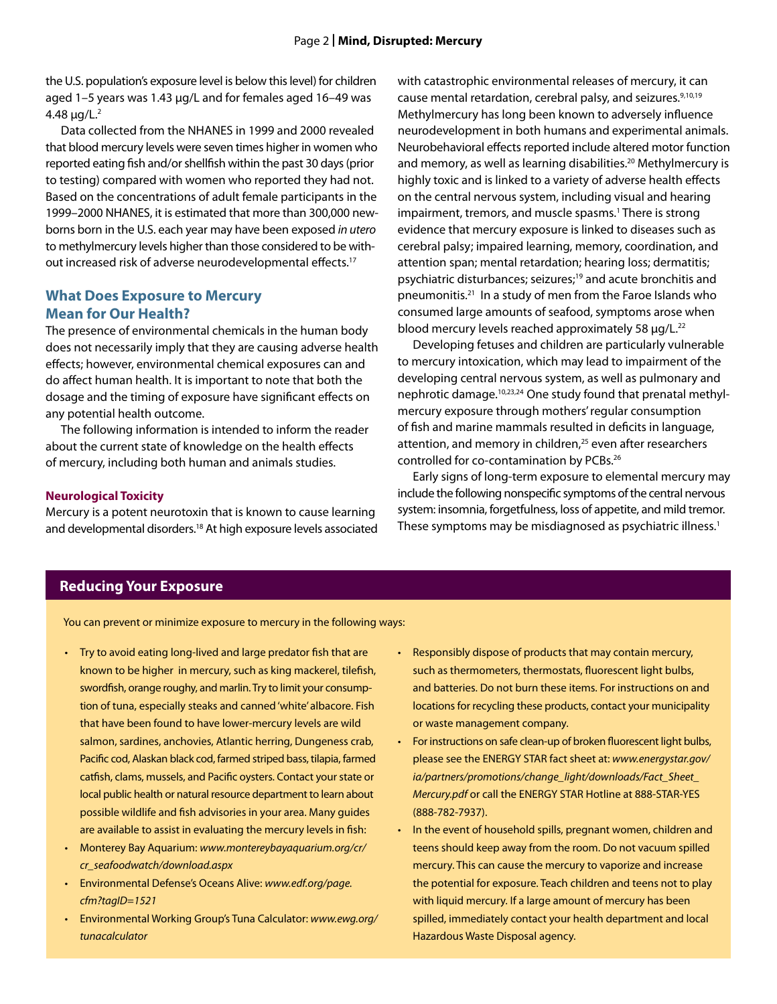the U.S. population's exposure level is below this level) for children aged 1–5 years was 1.43 μg/L and for females aged 16–49 was  $4.48 \mu g/L.<sup>2</sup>$ 

Data collected from the NHANES in 1999 and 2000 revealed that blood mercury levels were seven times higher in women who reported eating fish and/or shellfish within the past 30 days (prior to testing) compared with women who reported they had not. Based on the concentrations of adult female participants in the 1999–2000 NHANES, it is estimated that more than 300,000 newborns born in the U.S. each year may have been exposed *in utero* to methylmercury levels higher than those considered to be without increased risk of adverse neurodevelopmental effects.17

#### **What Does Exposure to Mercury Mean for Our Health?**

The presence of environmental chemicals in the human body does not necessarily imply that they are causing adverse health effects; however, environmental chemical exposures can and do affect human health. It is important to note that both the dosage and the timing of exposure have significant effects on any potential health outcome.

The following information is intended to inform the reader about the current state of knowledge on the health effects of mercury, including both human and animals studies.

#### **Neurological Toxicity**

Mercury is a potent neurotoxin that is known to cause learning and developmental disorders.<sup>18</sup> At high exposure levels associated with catastrophic environmental releases of mercury, it can cause mental retardation, cerebral palsy, and seizures.<sup>9,10,19</sup> Methylmercury has long been known to adversely influence neurodevelopment in both humans and experimental animals. Neurobehavioral effects reported include altered motor function and memory, as well as learning disabilities.<sup>20</sup> Methylmercury is highly toxic and is linked to a variety of adverse health effects on the central nervous system, including visual and hearing impairment, tremors, and muscle spasms.<sup>1</sup> There is strong evidence that mercury exposure is linked to diseases such as cerebral palsy; impaired learning, memory, coordination, and attention span; mental retardation; hearing loss; dermatitis; psychiatric disturbances; seizures;<sup>19</sup> and acute bronchitis and pneumonitis.21 In a study of men from the Faroe Islands who consumed large amounts of seafood, symptoms arose when blood mercury levels reached approximately 58 µg/L.<sup>22</sup>

Developing fetuses and children are particularly vulnerable to mercury intoxication, which may lead to impairment of the developing central nervous system, as well as pulmonary and nephrotic damage.10,23,24 One study found that prenatal methylmercury exposure through mothers' regular consumption of fish and marine mammals resulted in deficits in language, attention, and memory in children,<sup>25</sup> even after researchers controlled for co-contamination by PCBs.26

Early signs of long-term exposure to elemental mercury may include the following nonspecific symptoms of the central nervous system: insomnia, forgetfulness, loss of appetite, and mild tremor. These symptoms may be misdiagnosed as psychiatric illness.<sup>1</sup>

#### **Reducing Your Exposure**

You can prevent or minimize exposure to mercury in the following ways:

- Try to avoid eating long-lived and large predator fish that are known to be higher in mercury, such as king mackerel, tilefish, swordfish, orange roughy, and marlin. Try to limit your consumption of tuna, especially steaks and canned 'white' albacore. Fish that have been found to have lower-mercury levels are wild salmon, sardines, anchovies, Atlantic herring, Dungeness crab, Pacific cod, Alaskan black cod, farmed striped bass, tilapia, farmed catfish, clams, mussels, and Pacific oysters. Contact your state or local public health or natural resource department to learn about possible wildlife and fish advisories in your area. Many guides are available to assist in evaluating the mercury levels in fish:
- • Monterey Bay Aquarium: *www.montereybayaquarium.org/cr/ cr\_seafoodwatch/download.aspx*
- • Environmental Defense's Oceans Alive: *www.edf.org/page. cfm?tagID=1521*
- • Environmental Working Group's Tuna Calculator: *www.ewg.org/ tunacalculator*
- Responsibly dispose of products that may contain mercury, such as thermometers, thermostats, fluorescent light bulbs, and batteries. Do not burn these items. For instructions on and locations for recycling these products, contact your municipality or waste management company.
- For instructions on safe clean-up of broken fluorescent light bulbs, please see the ENERGY STAR fact sheet at: *www.energystar.gov/ ia/partners/promotions/change\_light/downloads/Fact\_Sheet\_ Mercury.pdf* or call the ENERGY STAR Hotline at 888-STAR-YES (888-782-7937).
- In the event of household spills, pregnant women, children and teens should keep away from the room. Do not vacuum spilled mercury. This can cause the mercury to vaporize and increase the potential for exposure. Teach children and teens not to play with liquid mercury. If a large amount of mercury has been spilled, immediately contact your health department and local Hazardous Waste Disposal agency.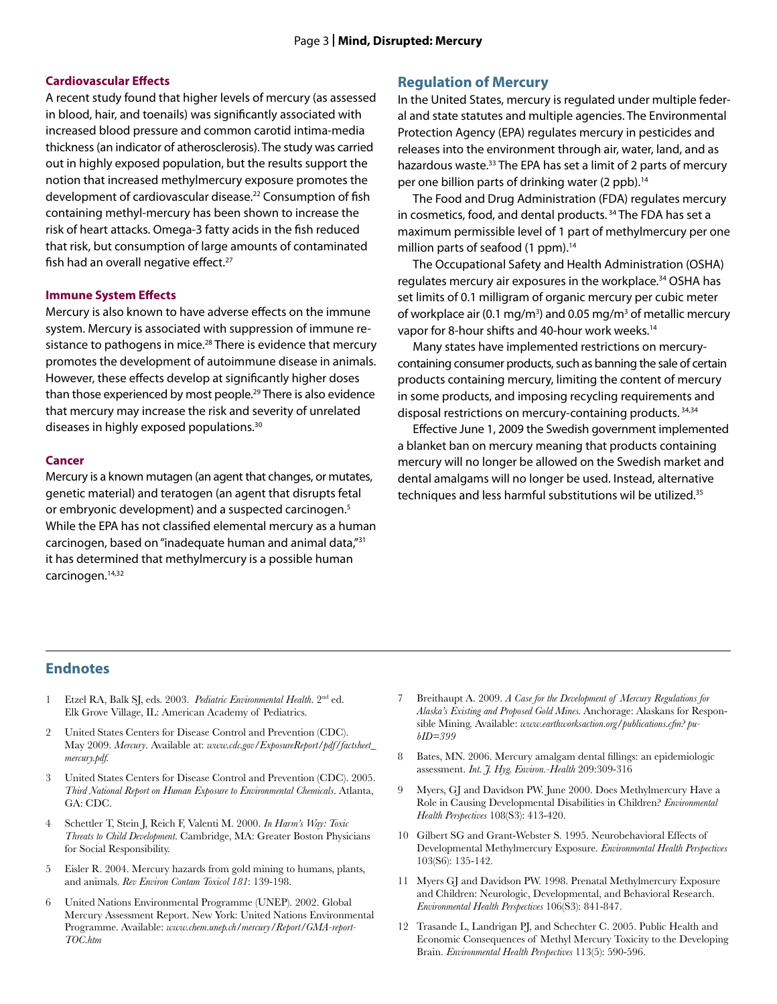#### **Cardiovascular Effects**

A recent study found that higher levels of mercury (as assessed in blood, hair, and toenails) was significantly associated with increased blood pressure and common carotid intima-media thickness (an indicator of atherosclerosis). The study was carried out in highly exposed population, but the results support the notion that increased methylmercury exposure promotes the development of cardiovascular disease.<sup>22</sup> Consumption of fish containing methyl-mercury has been shown to increase the risk of heart attacks. Omega-3 fatty acids in the fish reduced that risk, but consumption of large amounts of contaminated fish had an overall negative effect.<sup>27</sup>

#### **Immune System Effects**

Mercury is also known to have adverse effects on the immune system. Mercury is associated with suppression of immune resistance to pathogens in mice.<sup>28</sup> There is evidence that mercury promotes the development of autoimmune disease in animals. However, these effects develop at significantly higher doses than those experienced by most people.<sup>29</sup> There is also evidence that mercury may increase the risk and severity of unrelated diseases in highly exposed populations.30

#### **Cancer**

Mercury is a known mutagen (an agent that changes, or mutates, genetic material) and teratogen (an agent that disrupts fetal or embryonic development) and a suspected carcinogen.<sup>5</sup> While the EPA has not classified elemental mercury as a human carcinogen, based on "inadequate human and animal data,"31 it has determined that methylmercury is a possible human carcinogen.14,32

#### **Regulation of Mercury**

In the United States, mercury is regulated under multiple federal and state statutes and multiple agencies. The Environmental Protection Agency (EPA) regulates mercury in pesticides and releases into the environment through air, water, land, and as hazardous waste.<sup>33</sup> The EPA has set a limit of 2 parts of mercury per one billion parts of drinking water (2 ppb).<sup>14</sup>

The Food and Drug Administration (FDA) regulates mercury in cosmetics, food, and dental products.<sup>34</sup> The FDA has set a maximum permissible level of 1 part of methylmercury per one million parts of seafood (1 ppm).<sup>14</sup>

The Occupational Safety and Health Administration (OSHA) regulates mercury air exposures in the workplace.<sup>34</sup> OSHA has set limits of 0.1 milligram of organic mercury per cubic meter of workplace air (0.1 mg/m<sup>3</sup>) and 0.05 mg/m<sup>3</sup> of metallic mercury vapor for 8-hour shifts and 40-hour work weeks.<sup>14</sup>

Many states have implemented restrictions on mercurycontaining consumer products, such as banning the sale of certain products containing mercury, limiting the content of mercury in some products, and imposing recycling requirements and disposal restrictions on mercury-containing products. 34,34

Effective June 1, 2009 the Swedish government implemented a blanket ban on mercury meaning that products containing mercury will no longer be allowed on the Swedish market and dental amalgams will no longer be used. Instead, alternative techniques and less harmful substitutions wil be utilized.<sup>35</sup>

#### **Endnotes**

- 1 Etzel RA, Balk SJ, eds. 2003. *Pediatric Environmental Health*. 2nd ed. Elk Grove Village, IL: American Academy of Pediatrics.
- 2 United States Centers for Disease Control and Prevention (CDC). May 2009. *Mercury*. Available at: *www.cdc.gov/ExposureReport/pdf/factsheet\_ mercury.pdf.*
- 3 United States Centers for Disease Control and Prevention (CDC). 2005. *Third National Report on Human Exposure to Environmental Chemicals*. Atlanta, GA: CDC.
- 4 Schettler T, Stein J, Reich F, Valenti M. 2000. *In Harm's Way: Toxic Threats to Child Development.* Cambridge, MA: Greater Boston Physicians for Social Responsibility.
- 5 Eisler R. 2004. Mercury hazards from gold mining to humans, plants, and animals. *Rev Environ Contam Toxicol 181*: 139-198.
- 6 United Nations Environmental Programme (UNEP). 2002. Global Mercury Assessment Report. New York: United Nations Environmental Programme. Available: *www.chem.unep.ch/mercury/Report/GMA-report-TOC.htm*
- 7 Breithaupt A. 2009. *A Case for the Development of Mercury Regulations for Alaska's Existing and Proposed Gold Mines.* Anchorage: Alaskans for Responsible Mining. Available: *www.earthworksaction.org/publications.cfm? pubID=399*
- 8 Bates, MN. 2006. Mercury amalgam dental fillings: an epidemiologic assessment. *Int. J. Hyg. Environ.-Health* 209:309-316
- 9 Myers, GJ and Davidson PW. June 2000. Does Methylmercury Have a Role in Causing Developmental Disabilities in Children? *Environmental Health Perspectives* 108(S3): 413-420.
- 10 Gilbert SG and Grant-Webster S. 1995. Neurobehavioral Effects of Developmental Methylmercury Exposure. *Environmental Health Perspectives* 103(S6): 135-142.
- 11 Myers GJ and Davidson PW. 1998. Prenatal Methylmercury Exposure and Children: Neurologic, Developmental, and Behavioral Research. *Environmental Health Perspectives* 106(S3): 841-847.
- 12 Trasande L, Landrigan PJ, and Schechter C. 2005. Public Health and Economic Consequences of Methyl Mercury Toxicity to the Developing Brain. *Environmental Health Perspectives* 113(5): 590-596.